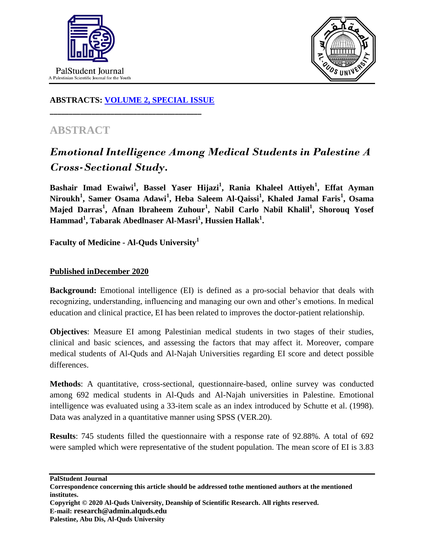



## **ABSTRACTS: [VOLUME 2, SPECIAL ISSUE](https://www.thelancet.com/journals/lancet/issue/vol393nonull/PIIS0140-6736(19)X0012-4)**

**\_\_\_\_\_\_\_\_\_\_\_\_\_\_\_\_\_\_\_\_\_\_\_\_\_\_\_\_\_\_\_\_\_\_\_\_\_\_\_\_**

## **ABSTRACT**

## *Emotional Intelligence Among Medical Students in Palestine A Cross-Sectional Study.*

**Bashair Imad Ewaiwi<sup>1</sup> , Bassel Yaser Hijazi<sup>1</sup> , Rania Khaleel Attiyeh<sup>1</sup> , Effat Ayman**   $N$ iroukh<sup>1</sup>, Samer Osama Adawi<sup>1</sup>, Heba Saleem Al-Qaissi<sup>1</sup>, Khaled Jamal Faris<sup>1</sup>, Osama **Majed Darras<sup>1</sup> , Afnan Ibraheem Zuhour<sup>1</sup> , Nabil Carlo Nabil Khalil<sup>1</sup> , Shorouq Yosef Hammad<sup>1</sup> , Tabarak Abedlnaser Al-Masri<sup>1</sup> , Hussien Hallak<sup>1</sup> .**

**Faculty of Medicine - Al-Quds University<sup>1</sup>**

## **Published inDecember 2020**

**Background:** Emotional intelligence (EI) is defined as a pro-social behavior that deals with recognizing, understanding, influencing and managing our own and other's emotions. In medical education and clinical practice, EI has been related to improves the doctor-patient relationship.

**Objectives**: Measure EI among Palestinian medical students in two stages of their studies, clinical and basic sciences, and assessing the factors that may affect it. Moreover, compare medical students of Al-Quds and Al-Najah Universities regarding EI score and detect possible differences.

**Methods**: A quantitative, cross-sectional, questionnaire-based, online survey was conducted among 692 medical students in Al-Quds and Al-Najah universities in Palestine. Emotional intelligence was evaluated using a 33-item scale as an index introduced by Schutte et al. (1998). Data was analyzed in a quantitative manner using SPSS (VER.20).

**Results**: 745 students filled the questionnaire with a response rate of 92.88%. A total of 692 were sampled which were representative of the student population. The mean score of EI is 3.83

**PalStudent Journal Correspondence concerning this article should be addressed tothe mentioned authors at the mentioned institutes. Copyright © 2020 Al-Quds University, Deanship of Scientific Research. All rights reserved. E-mail: research@admin.alquds.edu Palestine, Abu Dis, Al-Quds University**